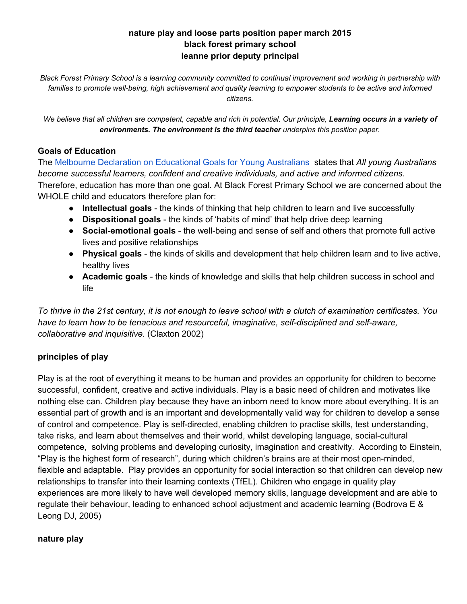## **nature play and loose parts position paper march 2015 black forest primary school leanne prior deputy principal**

Black Forest Primary School is a learning community committed to continual improvement and working in partnership with families to promote well-being, high achievement and quality learning to empower students to be active and informed *citizens.*

We believe that all children are competent, capable and rich in potential. Our principle, Learning occurs in a variety of *environments. The environment is the third teacher underpins this position paper.*

### **Goals of Education**

The Melbourne Declaration on [Educational](http://www.mceecdya.edu.au/verve/_resources/National_Declaration_on_the_Educational_Goals_for_Young_Australians.pdf) Goals for Young Australians states that *All young Australians become successful learners, confident and creative individuals, and active and informed citizens.* Therefore, education has more than one goal. At Black Forest Primary School we are concerned about the WHOLE child and educators therefore plan for:

- **Intellectual goals** the kinds of thinking that help children to learn and live successfully
- **Dispositional goals** the kinds of 'habits of mind' that help drive deep learning
- Social-emotional goals the well-being and sense of self and others that promote full active lives and positive relationships
- **Physical goals** the kinds of skills and development that help children learn and to live active, healthy lives
- **Academic goals** the kinds of knowledge and skills that help children success in school and life

To thrive in the 21st century, it is not enough to leave school with a clutch of examination certificates. You *have* to learn how to be tenacious and resourceful, imaginative, self-disciplined and self-aware, *collaborative and inquisitive.* (Claxton 2002)

## **principles of play**

Play is at the root of everything it means to be human and provides an opportunity for children to become successful, confident, creative and active individuals. Play is a basic need of children and motivates like nothing else can. Children play because they have an inborn need to know more about everything. It is an essential part of growth and is an important and developmentally valid way for children to develop a sense of control and competence. Play is self-directed, enabling children to practise skills, test understanding, take risks, and learn about themselves and their world, whilst developing language, social-cultural competence, solving problems and developing curiosity, imagination and creativity. According to Einstein, "Play is the highest form of research", during which children's brains are at their most openminded, flexible and adaptable. Play provides an opportunity for social interaction so that children can develop new relationships to transfer into their learning contexts (TfEL). Children who engage in quality play experiences are more likely to have well developed memory skills, language development and are able to regulate their behaviour, leading to enhanced school adjustment and academic learning (Bodrova E & Leong DJ, 2005)

## **nature play**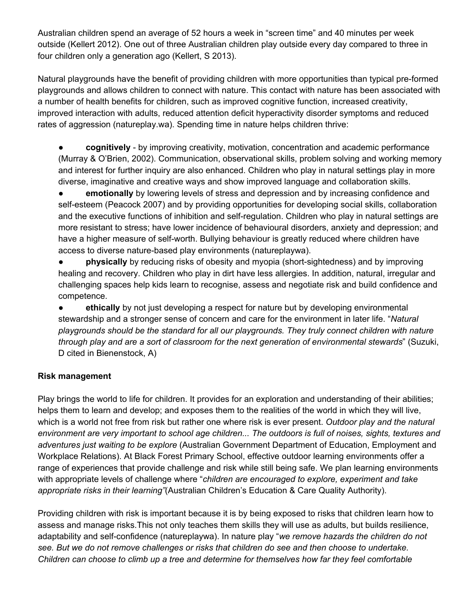Australian children spend an average of 52 hours a week in "screen time" and 40 minutes per week outside (Kellert 2012). One out of three Australian children play outside every day compared to three in four children only a generation ago (Kellert, S 2013).

Natural playgrounds have the benefit of providing children with more opportunities than typical pre-formed playgrounds and allows children to connect with nature. This contact with nature has been associated with a number of health benefits for children, such as improved cognitive function, increased creativity, improved interaction with adults, reduced attention deficit hyperactivity disorder symptoms and reduced rates of aggression (natureplay.wa). Spending time in nature helps children thrive:

**• cognitively** - by improving creativity, motivation, concentration and academic performance (Murray & O'Brien, 2002). Communication, observational skills, problem solving and working memory and interest for further inquiry are also enhanced. Children who play in natural settings play in more diverse, imaginative and creative ways and show improved language and collaboration skills.

**emotionally** by lowering levels of stress and depression and by increasing confidence and self-esteem (Peacock 2007) and by providing opportunities for developing social skills, collaboration and the executive functions of inhibition and self-regulation. Children who play in natural settings are more resistant to stress; have lower incidence of behavioural disorders, anxiety and depression; and have a higher measure of self-worth. Bullying behaviour is greatly reduced where children have access to diverse nature-based play environments (natureplaywa).

**• brith physically** by reducing risks of obesity and myopia (short-sightedness) and by improving healing and recovery. Children who play in dirt have less allergies. In addition, natural, irregular and challenging spaces help kids learn to recognise, assess and negotiate risk and build confidence and competence.

**• ethically** by not just developing a respect for nature but by developing environmental stewardship and a stronger sense of concern and care for the environment in later life. "*Natural playgrounds should be the standard for all our playgrounds. They truly connect children with nature through play and are a sort of classroom for the next generation of environmental stewards*" (Suzuki, D cited in Bienenstock, A)

## **Risk management**

Play brings the world to life for children. It provides for an exploration and understanding of their abilities; helps them to learn and develop; and exposes them to the realities of the world in which they will live, which is a world not free from risk but rather one where risk is ever present. *Outdoor play and the natural* environment are very important to school age children... The outdoors is full of noises, sights, textures and *adventures just waiting to be explore* (Australian Government Department of Education, Employment and Workplace Relations). At Black Forest Primary School, effective outdoor learning environments offer a range of experiences that provide challenge and risk while still being safe. We plan learning environments with appropriate levels of challenge where "*children are encouraged to explore, experiment and take appropriate risks in their learning"*(Australian Children's Education & Care Quality Authority).

Providing children with risk is important because it is by being exposed to risks that children learn how to assess and manage risks.This not only teaches them skills they will use as adults, but builds resilience, adaptability and self-confidence (natureplaywa). In nature play "we remove hazards the children do not *see. But we do not remove challenges or risks that children do see and then choose to undertake. Children can choose to climb up a tree and determine for themselves how far they feel comfortable*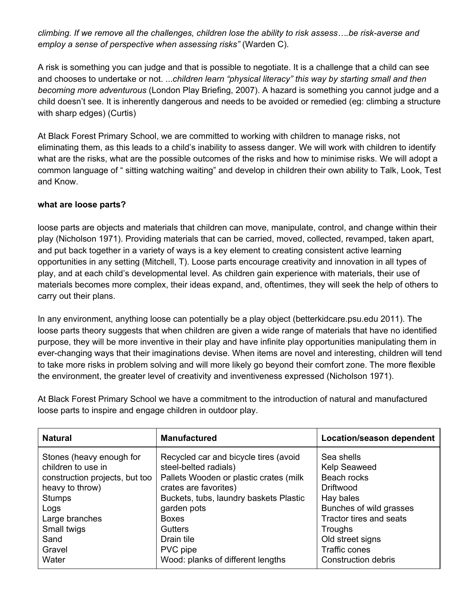*climbing. If we remove all the challenges, children lose the ability to risk assess….be riskaverse and employ a sense of perspective when assessing risks"* (Warden C).

A risk is something you can judge and that is possible to negotiate. It is a challenge that a child can see and chooses to undertake or not. ...*children learn "physical literacy" this way by starting small and then becoming more adventurous* (London Play Briefing, 2007). A hazard is something you cannot judge and a child doesn't see. It is inherently dangerous and needs to be avoided or remedied (eg: climbing a structure with sharp edges) (Curtis)

At Black Forest Primary School, we are committed to working with children to manage risks, not eliminating them, as this leads to a child's inability to assess danger. We will work with children to identify what are the risks, what are the possible outcomes of the risks and how to minimise risks. We will adopt a common language of " sitting watching waiting" and develop in children their own ability to Talk, Look, Test and Know.

## **what are loose parts?**

loose parts are objects and materials that children can move, manipulate, control, and change within their play (Nicholson 1971). Providing materials that can be carried, moved, collected, revamped, taken apart, and put back together in a variety of ways is a key element to creating consistent active learning opportunities in any setting (Mitchell, T). Loose parts encourage creativity and innovation in all types of play, and at each child's developmental level. As children gain experience with materials, their use of materials becomes more complex, their ideas expand, and, oftentimes, they will seek the help of others to carry out their plans.

In any environment, anything loose can potentially be a play object (betterkidcare.psu.edu 2011). The loose parts theory suggests that when children are given a wide range of materials that have no identified purpose, they will be more inventive in their play and have infinite play opportunities manipulating them in ever-changing ways that their imaginations devise. When items are novel and interesting, children will tend to take more risks in problem solving and will more likely go beyond their comfort zone. The more flexible the environment, the greater level of creativity and inventiveness expressed (Nicholson 1971).

At Black Forest Primary School we have a commitment to the introduction of natural and manufactured loose parts to inspire and engage children in outdoor play.

| <b>Natural</b>                                                                                                                                                                  | <b>Manufactured</b>                                                                                                                                                                                                                                     | Location/season dependent                                                                                                                                                               |
|---------------------------------------------------------------------------------------------------------------------------------------------------------------------------------|---------------------------------------------------------------------------------------------------------------------------------------------------------------------------------------------------------------------------------------------------------|-----------------------------------------------------------------------------------------------------------------------------------------------------------------------------------------|
| Stones (heavy enough for<br>children to use in<br>construction projects, but too<br>heavy to throw)<br><b>Stumps</b><br>Logs<br>Large branches<br>Small twigs<br>Sand<br>Gravel | Recycled car and bicycle tires (avoid<br>steel-belted radials)<br>Pallets Wooden or plastic crates (milk)<br>crates are favorites)<br>Buckets, tubs, laundry baskets Plastic<br>garden pots<br><b>Boxes</b><br><b>Gutters</b><br>Drain tile<br>PVC pipe | Sea shells<br>Kelp Seaweed<br>Beach rocks<br><b>Driftwood</b><br>Hay bales<br>Bunches of wild grasses<br>Tractor tires and seats<br>Troughs<br>Old street signs<br><b>Traffic cones</b> |
| Water                                                                                                                                                                           | Wood: planks of different lengths                                                                                                                                                                                                                       | <b>Construction debris</b>                                                                                                                                                              |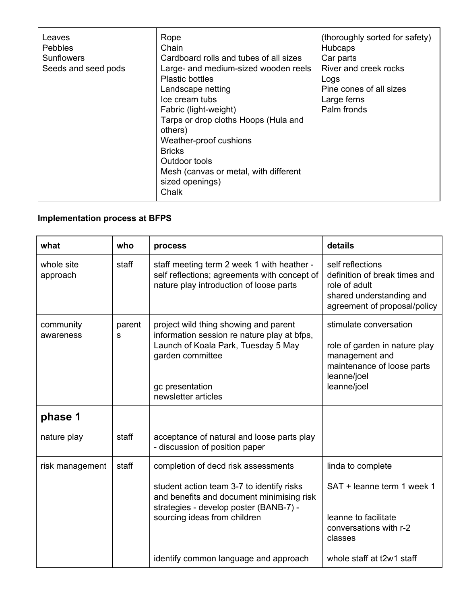| Leaves<br>Pebbles<br><b>Sunflowers</b><br>Seeds and seed pods | Rope<br>Chain<br>Cardboard rolls and tubes of all sizes<br>Large- and medium-sized wooden reels<br>Plastic bottles<br>Landscape netting<br>Ice cream tubs<br>Fabric (light-weight)<br>Tarps or drop cloths Hoops (Hula and<br>others)<br>Weather-proof cushions<br><b>Bricks</b><br>Outdoor tools<br>Mesh (canvas or metal, with different<br>sized openings)<br>Chalk | (thoroughly sorted for safety)<br><b>Hubcaps</b><br>Car parts<br>River and creek rocks<br>Logs<br>Pine cones of all sizes<br>Large ferns<br>Palm fronds |
|---------------------------------------------------------------|------------------------------------------------------------------------------------------------------------------------------------------------------------------------------------------------------------------------------------------------------------------------------------------------------------------------------------------------------------------------|---------------------------------------------------------------------------------------------------------------------------------------------------------|
|---------------------------------------------------------------|------------------------------------------------------------------------------------------------------------------------------------------------------------------------------------------------------------------------------------------------------------------------------------------------------------------------------------------------------------------------|---------------------------------------------------------------------------------------------------------------------------------------------------------|

# **Implementation process at BFPS**

| what                   | who         | process                                                                                                                                                            | details                                                                                                                               |
|------------------------|-------------|--------------------------------------------------------------------------------------------------------------------------------------------------------------------|---------------------------------------------------------------------------------------------------------------------------------------|
| whole site<br>approach | staff       | staff meeting term 2 week 1 with heather -<br>self reflections; agreements with concept of<br>nature play introduction of loose parts                              | self reflections<br>definition of break times and<br>role of adult<br>shared understanding and<br>agreement of proposal/policy        |
| community<br>awareness | parent<br>S | project wild thing showing and parent<br>information session re nature play at bfps,<br>Launch of Koala Park, Tuesday 5 May<br>garden committee<br>gc presentation | stimulate conversation<br>role of garden in nature play<br>management and<br>maintenance of loose parts<br>leanne/joel<br>leanne/joel |
|                        |             | newsletter articles                                                                                                                                                |                                                                                                                                       |
| phase 1                |             |                                                                                                                                                                    |                                                                                                                                       |
| nature play            | staff       | acceptance of natural and loose parts play<br>- discussion of position paper                                                                                       |                                                                                                                                       |
| risk management        | staff       | completion of decd risk assessments                                                                                                                                | linda to complete                                                                                                                     |
|                        |             | student action team 3-7 to identify risks<br>and benefits and document minimising risk<br>strategies - develop poster (BANB-7) -                                   | SAT + leanne term 1 week 1                                                                                                            |
|                        |             | sourcing ideas from children                                                                                                                                       | leanne to facilitate<br>conversations with r-2<br>classes                                                                             |
|                        |             | identify common language and approach                                                                                                                              | whole staff at t2w1 staff                                                                                                             |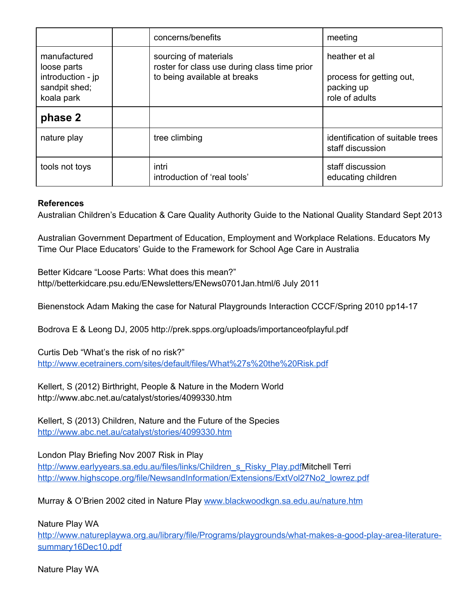|                                                                   |  | concerns/benefits                                                                                     | meeting                                                 |
|-------------------------------------------------------------------|--|-------------------------------------------------------------------------------------------------------|---------------------------------------------------------|
| manufactured<br>loose parts<br>introduction - jp<br>sandpit shed; |  | sourcing of materials<br>roster for class use during class time prior<br>to being available at breaks | heather et al<br>process for getting out,<br>packing up |
| koala park                                                        |  | role of adults                                                                                        |                                                         |
| phase 2                                                           |  |                                                                                                       |                                                         |
| nature play                                                       |  | tree climbing                                                                                         | identification of suitable trees<br>staff discussion    |
| tools not toys                                                    |  | intri<br>introduction of 'real tools'                                                                 | staff discussion<br>educating children                  |

#### **References**

Australian Children's Education & Care Quality Authority Guide to the National Quality Standard Sept 2013

Australian Government Department of Education, Employment and Workplace Relations. Educators My Time Our Place Educators' Guide to the Framework for School Age Care in Australia

Better Kidcare "Loose Parts: What does this mean?" http//betterkidcare.psu.edu/ENewsletters/ENews0701Jan.html/6 July 2011

Bienenstock Adam Making the case for Natural Playgrounds Interaction CCCF/Spring 2010 pp1417

Bodrova E & Leong DJ, 2005 http://prek.spps.org/uploads/importanceofplayful.pdf

Curtis Deb "What's the risk of no risk?" <http://www.ecetrainers.com/sites/default/files/What%27s%20the%20Risk.pdf>

Kellert, S (2012) Birthright, People & Nature in the Modern World http://www.abc.net.au/catalyst/stories/4099330.htm

Kellert, S (2013) Children, Nature and the Future of the Species <http://www.abc.net.au/catalyst/stories/4099330.htm>

London Play Briefing Nov 2007 Risk in Play

[http://www.earlyyears.sa.edu.au/files/links/Children\\_s\\_Risky\\_Play.pdfM](http://www.earlyyears.sa.edu.au/files/links/Children_s_Risky_Play.pdf)itchell Terri [http://www.highscope.org/file/NewsandInformation/Extensions/ExtVol27No2\\_lowrez.pdf](http://www.highscope.org/file/NewsandInformation/Extensions/ExtVol27No2_lowrez.pdf)

Murray & O'Brien 2002 cited in Nature Play [www.blackwoodkgn.sa.edu.au/nature.htm](http://www.blackwoodkgn.sa.edu.au/nature.htm)

Nature Play WA

http://www.natureplaywa.org.au/library/file/Programs/playgrounds/what-makes-a-good-play-area-literature[summary16Dec10.pdf](http://www.natureplaywa.org.au/library/file/Programs/playgrounds/what-makes-a-good-play-area-literature-summary16Dec10.pdf)

Nature Play WA